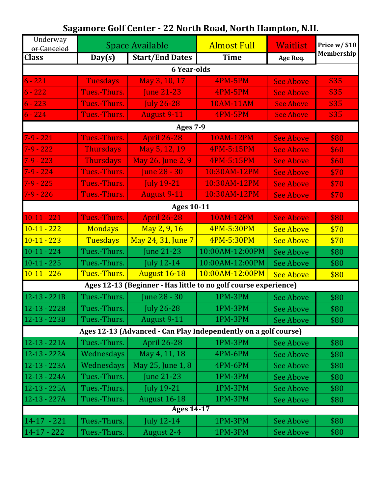| Underway<br>or Canceled                                         | <b>Space Available</b> |                        | <b>Almost Full</b> | <b>Waitlist</b>  | Price w/ \$10 |
|-----------------------------------------------------------------|------------------------|------------------------|--------------------|------------------|---------------|
| <b>Class</b>                                                    | Day(s)                 | <b>Start/End Dates</b> | <b>Time</b>        | Age Req.         | Membership    |
| <b>6 Year-olds</b>                                              |                        |                        |                    |                  |               |
| $6 - 221$                                                       | <b>Tuesdays</b>        | May 3, 10, 17          | <b>4PM-5PM</b>     | <b>See Above</b> | \$35          |
| $6 - 222$                                                       | Tues.-Thurs.           | <b>June 21-23</b>      | <b>4PM-5PM</b>     | <b>See Above</b> | \$35          |
| $6 - 223$                                                       | Tues.-Thurs.           | <b>July 26-28</b>      | <b>10AM-11AM</b>   | <b>See Above</b> | \$35          |
| $6 - 224$                                                       | Tues.-Thurs.           | <b>August 9-11</b>     | <b>4PM-5PM</b>     | <b>See Above</b> | \$35          |
|                                                                 |                        | <b>Ages 7-9</b>        |                    |                  |               |
| $7 - 9 - 221$                                                   | Tues.-Thurs.           | <b>April 26-28</b>     | <b>10AM-12PM</b>   | <b>See Above</b> | \$80          |
| $7 - 9 - 222$                                                   | <b>Thursdays</b>       | May 5, 12, 19          | 4PM-5:15PM         | <b>See Above</b> | \$60          |
| $7 - 9 - 223$                                                   | <b>Thursdays</b>       | May 26, June 2, 9      | 4PM-5:15PM         | <b>See Above</b> | \$60          |
| $7 - 9 - 224$                                                   | Tues.-Thurs.           | <b>June 28 - 30</b>    | 10:30AM-12PM       | <b>See Above</b> | \$70          |
| $7-9 - 225$                                                     | Tues.-Thurs.           | <b>July 19-21</b>      | 10:30AM-12PM       | <b>See Above</b> | \$70          |
| $7-9 - 226$                                                     | Tues.-Thurs.           | <b>August 9-11</b>     | 10:30AM-12PM       | <b>See Above</b> | \$70          |
|                                                                 |                        | <b>Ages 10-11</b>      |                    |                  |               |
| $10-11-221$                                                     | Tues.-Thurs.           | <b>April 26-28</b>     | <b>10AM-12PM</b>   | <b>See Above</b> | \$80          |
| $10-11 - 222$                                                   | <b>Mondays</b>         | May 2, 9, 16           | 4PM-5:30PM         | <b>See Above</b> | \$70          |
| $10-11 - 223$                                                   | <b>Tuesdays</b>        | May 24, 31, June 7     | 4PM-5:30PM         | <b>See Above</b> | \$70          |
| $10-11 - 224$                                                   | Tues.-Thurs.           | <b>June 21-23</b>      | 10:00AM-12:00PM    | <b>See Above</b> | \$80          |
| $10-11 - 225$                                                   | Tues.-Thurs.           | <b>July 12-14</b>      | 10:00AM-12:00PM    | <b>See Above</b> | \$80          |
| $10-11 - 226$                                                   | Tues.-Thurs.           | <b>August 16-18</b>    | 10:00AM-12:00PM    | <b>See Above</b> | \$80          |
| Ages 12-13 (Beginner - Has little to no golf course experience) |                        |                        |                    |                  |               |
| $12 - 13 - 221B$                                                | Tues.-Thurs.           | June 28 - 30           | 1PM-3PM            | <b>See Above</b> | \$80          |
| $12-13 - 222B$                                                  | Tues.-Thurs.           | <b>July 26-28</b>      | 1PM-3PM            | <b>See Above</b> | \$80          |
| $12 - 13 - 223B$                                                | Tues.-Thurs.           | August 9-11            | 1PM-3PM            | <b>See Above</b> | \$80          |
| Ages 12-13 (Advanced - Can Play Independently on a golf course) |                        |                        |                    |                  |               |
| $12-13 - 221A$                                                  | Tues.-Thurs.           | <b>April 26-28</b>     | 1PM-3PM            | <b>See Above</b> | \$80          |
| $12-13 - 222A$                                                  | Wednesdays             | May 4, 11, 18          | 4PM-6PM            | <b>See Above</b> | \$80          |
| $12 - 13 - 223A$                                                | Wednesdays             | May 25, June 1, 8      | 4PM-6PM            | <b>See Above</b> | \$80          |
| $12 - 13 - 224A$                                                | Tues.-Thurs.           | <b>June 21-23</b>      | 1PM-3PM            | <b>See Above</b> | \$80          |
| $12-13 - 225A$                                                  | Tues.-Thurs.           | <b>July 19-21</b>      | 1PM-3PM            | <b>See Above</b> | \$80          |
| $12-13 - 227A$                                                  | Tues.-Thurs.           | <b>August 16-18</b>    | 1PM-3PM            | <b>See Above</b> | \$80          |
| Ages 14-17                                                      |                        |                        |                    |                  |               |
| $14-17 - 221$                                                   | Tues.-Thurs.           | <b>July 12-14</b>      | 1PM-3PM            | <b>See Above</b> | \$80          |
| $14 - 17 - 222$                                                 | Tues.-Thurs.           | August 2-4             | 1PM-3PM            | See Above        | \$80          |

## **Sagamore Golf Center - 22 North Road, North Hampton, N.H.**